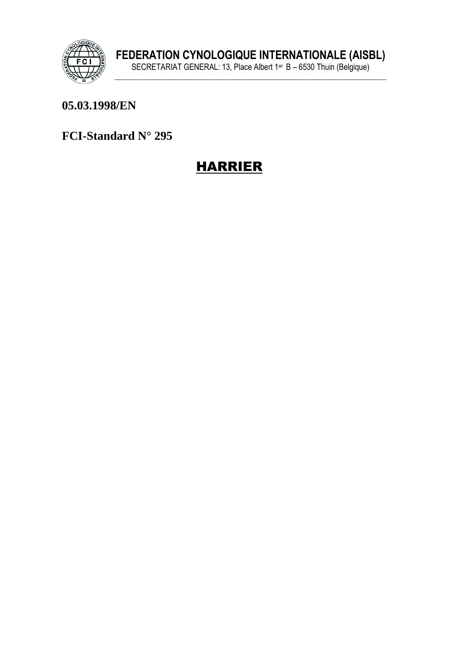

# 05.03.1998/EN

FCI-Standard N° 295

# **HARRIER**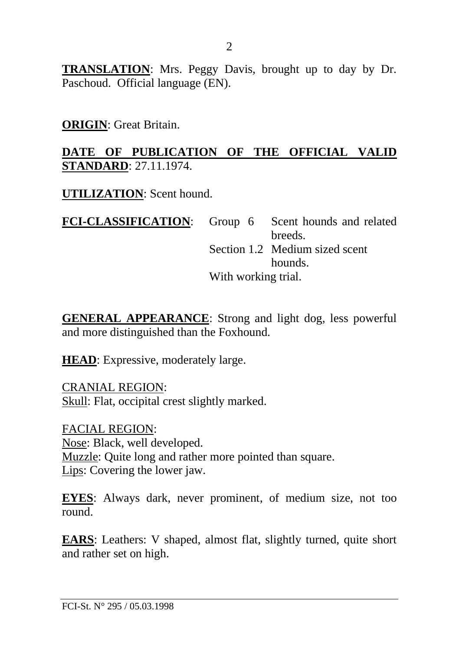**TRANSLATION**: Mrs. Peggy Davis, brought up to day by Dr. Paschoud. Official language (EN).

#### **ORIGIN**: Great Britain.

#### **DATE OF PUBLICATION OF THE OFFICIAL VALID STANDARD**: 27.11.1974.

**UTILIZATION**: Scent hound.

**FCI-CLASSIFICATION:** Group 6 Scent hounds and related breeds. Section 1.2 Medium sized scent hounds. With working trial.

**GENERAL APPEARANCE**: Strong and light dog, less powerful and more distinguished than the Foxhound.

**HEAD**: Expressive, moderately large.

CRANIAL REGION: Skull: Flat, occipital crest slightly marked.

FACIAL REGION: Nose: Black, well developed. Muzzle: Quite long and rather more pointed than square. Lips: Covering the lower jaw.

**EYES**: Always dark, never prominent, of medium size, not too round.

**EARS**: Leathers: V shaped, almost flat, slightly turned, quite short and rather set on high.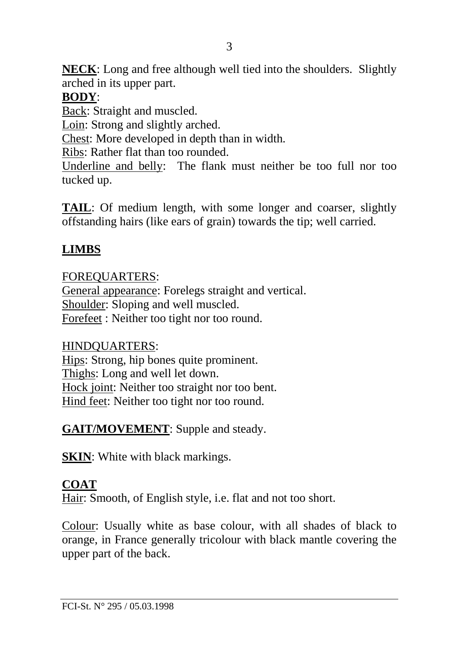**NECK**: Long and free although well tied into the shoulders. Slightly arched in its upper part.

# **BODY**:

Back: Straight and muscled.

Loin: Strong and slightly arched.

Chest: More developed in depth than in width.

Ribs: Rather flat than too rounded.

Underline and belly: The flank must neither be too full nor too tucked up.

**TAIL**: Of medium length, with some longer and coarser, slightly offstanding hairs (like ears of grain) towards the tip; well carried.

# **LIMBS**

# FOREQUARTERS:

General appearance: Forelegs straight and vertical. Shoulder: Sloping and well muscled. Forefeet : Neither too tight nor too round.

## HINDQUARTERS:

Hips: Strong, hip bones quite prominent. Thighs: Long and well let down. Hock joint: Neither too straight nor too bent. Hind feet: Neither too tight nor too round.

**GAIT/MOVEMENT**: Supple and steady.

**SKIN**: White with black markings.

# **COAT**

Hair: Smooth, of English style, i.e. flat and not too short.

Colour: Usually white as base colour, with all shades of black to orange, in France generally tricolour with black mantle covering the upper part of the back.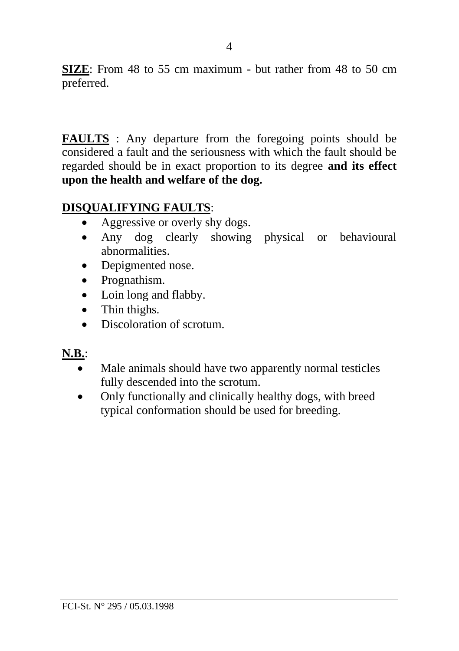**SIZE**: From 48 to 55 cm maximum - but rather from 48 to 50 cm preferred.

**FAULTS** : Any departure from the foregoing points should be considered a fault and the seriousness with which the fault should be regarded should be in exact proportion to its degree **and its effect upon the health and welfare of the dog.**

## **DISQUALIFYING FAULTS**:

- Aggressive or overly shy dogs.
- Any dog clearly showing physical or behavioural abnormalities.
- Depigmented nose.
- Prognathism.
- Loin long and flabby.
- Thin thighs.
- Discoloration of scrotum

## **N.B.**:

- Male animals should have two apparently normal testicles fully descended into the scrotum.
- Only functionally and clinically healthy dogs, with breed typical conformation should be used for breeding.